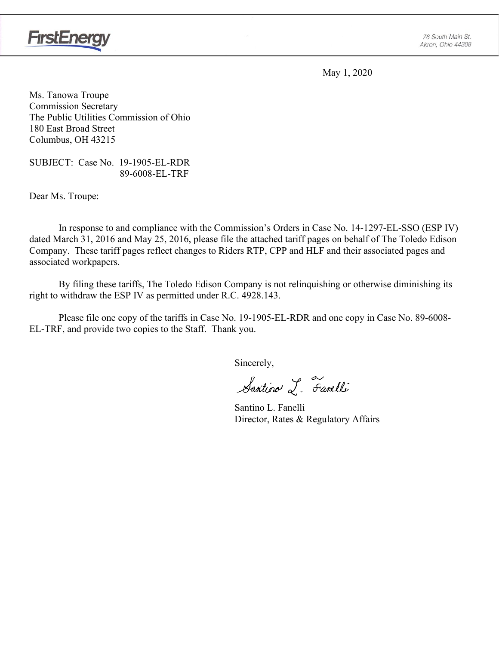

May 1, 2020

Ms. Tanowa Troupe Commission Secretary The Public Utilities Commission of Ohio 180 East Broad Street Columbus, OH 43215

SUBJECT: Case No. 19-1905-EL-RDR 89-6008-EL-TRF

Dear Ms. Troupe:

In response to and compliance with the Commission's Orders in Case No. 14-1297-EL-SSO (ESP IV) dated March 31, 2016 and May 25, 2016, please file the attached tariff pages on behalf of The Toledo Edison Company. These tariff pages reflect changes to Riders RTP, CPP and HLF and their associated pages and associated workpapers.

By filing these tariffs, The Toledo Edison Company is not relinquishing or otherwise diminishing its right to withdraw the ESP IV as permitted under R.C. 4928.143.

Please file one copy of the tariffs in Case No. 19-1905-EL-RDR and one copy in Case No. 89-6008- EL-TRF, and provide two copies to the Staff. Thank you.

Sincerely,

Santino L. Farelli

Santino L. Fanelli Director, Rates & Regulatory Affairs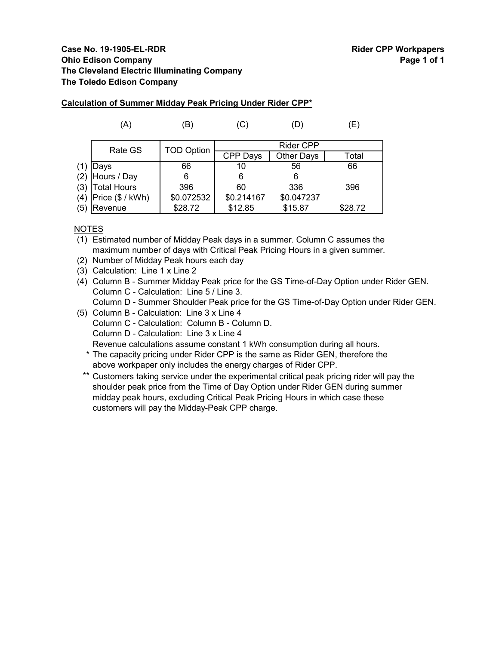## **Case No. 19-1905-EL-RDR Rider CPP Workpapers Ohio Edison Company Page 1 of 1 The Cleveland Electric Illuminating Company The Toledo Edison Company**

|     | (A)                | ΈB)               | (C         | (D)              | (E)     |
|-----|--------------------|-------------------|------------|------------------|---------|
|     | Rate GS            | <b>TOD Option</b> |            | <b>Rider CPP</b> |         |
|     |                    |                   | CPP Days   | Other Days       | Total   |
|     | Days               | 66                | 10         | 56               | 66      |
| (2) | Hours / Day        | 6                 | 6          | 6                |         |
| (3) | <b>Total Hours</b> | 396               | 60         | 336              | 396     |
| (4) | Price (\$ / kWh)   | \$0.072532        | \$0.214167 | \$0.047237       |         |
| (5) | Revenue            | \$28.72           | \$12.85    | \$15.87          | \$28.72 |

## **Calculation of Summer Midday Peak Pricing Under Rider CPP\***

## NOTES

(1) Estimated number of Midday Peak days in a summer. Column C assumes the maximum number of days with Critical Peak Pricing Hours in a given summer.

(2) Number of Midday Peak hours each day

(3) Calculation: Line 1 x Line 2

(4) Column B - Summer Midday Peak price for the GS Time-of-Day Option under Rider GEN. Column C - Calculation: Line 5 / Line 3. Column D - Summer Shoulder Peak price for the GS Time-of-Day Option under Rider GEN.

- (5) Column B Calculation: Line 3 x Line 4
	- Column C Calculation: Column B Column D.
	- Column D Calculation: Line 3 x Line 4

Revenue calculations assume constant 1 kWh consumption during all hours.

- \* The capacity pricing under Rider CPP is the same as Rider GEN, therefore the above workpaper only includes the energy charges of Rider CPP.
- \*\* Customers taking service under the experimental critical peak pricing rider will pay the shoulder peak price from the Time of Day Option under Rider GEN during summer midday peak hours, excluding Critical Peak Pricing Hours in which case these customers will pay the Midday-Peak CPP charge.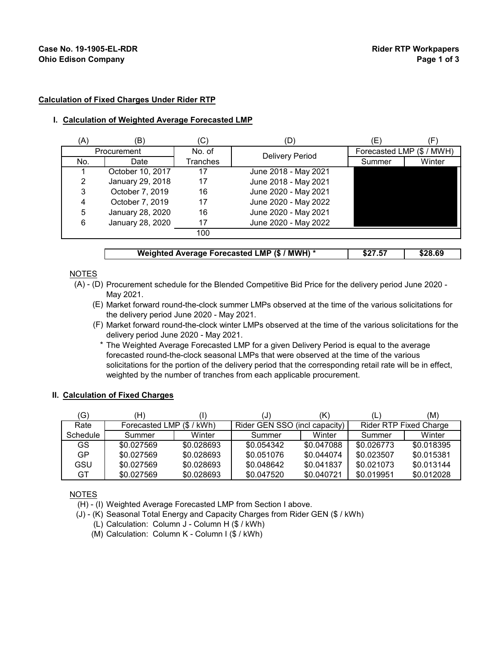### **Calculation of Fixed Charges Under Rider RTP**

#### **I. Calculation of Weighted Average Forecasted LMP**

| (A) | (B)              | 'C'      | (D)                    | E)     |                           |
|-----|------------------|----------|------------------------|--------|---------------------------|
|     | Procurement      | No. of   | <b>Delivery Period</b> |        | Forecasted LMP (\$ / MWH) |
| No. | Date             | Tranches |                        | Summer | Winter                    |
|     | October 10, 2017 | 17       | June 2018 - May 2021   |        |                           |
| 2   | January 29, 2018 | 17       | June 2018 - May 2021   |        |                           |
| 3   | October 7, 2019  | 16       | June 2020 - May 2021   |        |                           |
| 4   | October 7, 2019  | 17       | June 2020 - May 2022   |        |                           |
| 5   | January 28, 2020 | 16       | June 2020 - May 2021   |        |                           |
| 6   | January 28, 2020 | 17       | June 2020 - May 2022   |        |                           |
|     |                  | 100      |                        |        |                           |
|     |                  |          |                        |        |                           |

#### **Weighted Average Forecasted LMP (\$ / MWH) \* | \$27.57 | \$28.69**

## NOTES

- (A) (D) Procurement schedule for the Blended Competitive Bid Price for the delivery period June 2020 May 2021.
	- (E) Market forward round-the-clock summer LMPs observed at the time of the various solicitations for the delivery period June 2020 - May 2021.
	- (F) Market forward round-the-clock winter LMPs observed at the time of the various solicitations for the delivery period June 2020 - May 2021.
		- \* The Weighted Average Forecasted LMP for a given Delivery Period is equal to the average forecasted round-the-clock seasonal LMPs that were observed at the time of the various solicitations for the portion of the delivery period that the corresponding retail rate will be in effect, weighted by the number of tranches from each applicable procurement.

### **II. Calculation of Fixed Charges**

| (G)      | Ή)                        |            | IJ                            |            |            | (M)                           |
|----------|---------------------------|------------|-------------------------------|------------|------------|-------------------------------|
| Rate     | Forecasted LMP (\$ / kWh) |            | Rider GEN SSO (incl capacity) |            |            | <b>Rider RTP Fixed Charge</b> |
| Schedule | Summer                    | Winter     | Summer                        | Winter     | Summer     | Winter                        |
| GS.      | \$0.027569                | \$0.028693 | \$0.054342                    | \$0.047088 | \$0.026773 | \$0.018395                    |
| GP       | \$0.027569                | \$0.028693 | \$0.051076                    | \$0.044074 | \$0.023507 | \$0.015381                    |
| GSU      | \$0.027569                | \$0.028693 | \$0.048642                    | \$0.041837 | \$0.021073 | \$0.013144                    |
| GT       | \$0.027569                | \$0.028693 | \$0.047520                    | \$0.040721 | \$0.019951 | \$0.012028                    |

### NOTES

- (H) (I) Weighted Average Forecasted LMP from Section I above.
- (J) (K) Seasonal Total Energy and Capacity Charges from Rider GEN (\$ / kWh)
	- (L) Calculation: Column J Column H (\$ / kWh)
	- (M) Calculation: Column K Column I (\$ / kWh)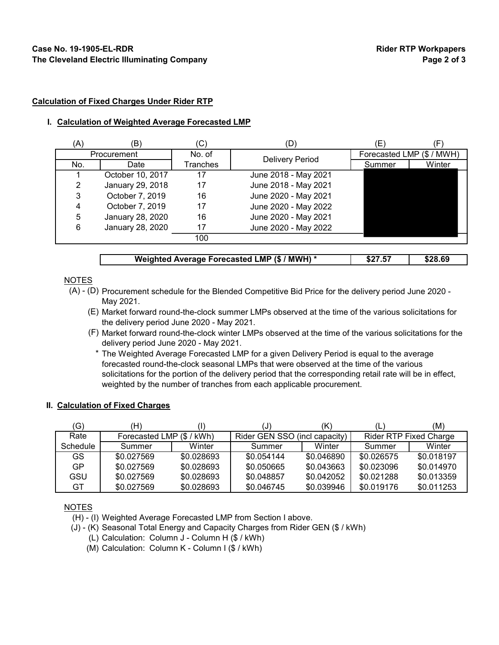#### **Calculation of Fixed Charges Under Rider RTP**

#### **I. Calculation of Weighted Average Forecasted LMP**

| (A) | (B)              | C)       | D)                     | Έ.                        |        |
|-----|------------------|----------|------------------------|---------------------------|--------|
|     | Procurement      | No. of   | <b>Delivery Period</b> | Forecasted LMP (\$ / MWH) |        |
| No. | Date             | Tranches |                        | Summer                    | Winter |
|     | October 10, 2017 | 17       | June 2018 - May 2021   |                           |        |
| 2   | January 29, 2018 | 17       | June 2018 - May 2021   |                           |        |
| 3   | October 7, 2019  | 16       | June 2020 - May 2021   |                           |        |
|     | October 7, 2019  | 17       | June 2020 - May 2022   |                           |        |
| 5   | January 28, 2020 | 16       | June 2020 - May 2021   |                           |        |
| 6   | January 28, 2020 | 17       | June 2020 - May 2022   |                           |        |
|     |                  | 100      |                        |                           |        |

| Weighted Average Forecasted LMP (\$ / MWH) * | \$27.57 | \$28.69 |
|----------------------------------------------|---------|---------|

### NOTES

- (A) (D) Procurement schedule for the Blended Competitive Bid Price for the delivery period June 2020 May 2021.
	- (E) Market forward round-the-clock summer LMPs observed at the time of the various solicitations for the delivery period June 2020 - May 2021.
	- (F) Market forward round-the-clock winter LMPs observed at the time of the various solicitations for the delivery period June 2020 - May 2021.
		- \* The Weighted Average Forecasted LMP for a given Delivery Period is equal to the average forecasted round-the-clock seasonal LMPs that were observed at the time of the various solicitations for the portion of the delivery period that the corresponding retail rate will be in effect, weighted by the number of tranches from each applicable procurement.

## **II. Calculation of Fixed Charges**

| G)       | (H)                       |            | U                             |            |            | (M)                           |
|----------|---------------------------|------------|-------------------------------|------------|------------|-------------------------------|
| Rate     | Forecasted LMP (\$ / kWh) |            | Rider GEN SSO (incl capacity) |            |            | <b>Rider RTP Fixed Charge</b> |
| Schedule | Summer                    | Winter     | Summer                        | Winter     | Summer     | Winter                        |
| GS.      | \$0.027569                | \$0.028693 | \$0.054144                    | \$0.046890 | \$0.026575 | \$0.018197                    |
| GP       | \$0.027569                | \$0.028693 | \$0.050665                    | \$0.043663 | \$0.023096 | \$0.014970                    |
| GSU      | \$0.027569                | \$0.028693 | \$0.048857                    | \$0.042052 | \$0.021288 | \$0.013359                    |
| GT       | \$0.027569                | \$0.028693 | \$0.046745                    | \$0.039946 | \$0.019176 | \$0.011253                    |

## NOTES

- (H) (I) Weighted Average Forecasted LMP from Section I above.
- (J) (K) Seasonal Total Energy and Capacity Charges from Rider GEN (\$ / kWh)
	- (L) Calculation: Column J Column H (\$ / kWh)
	- (M) Calculation: Column K Column I (\$ / kWh)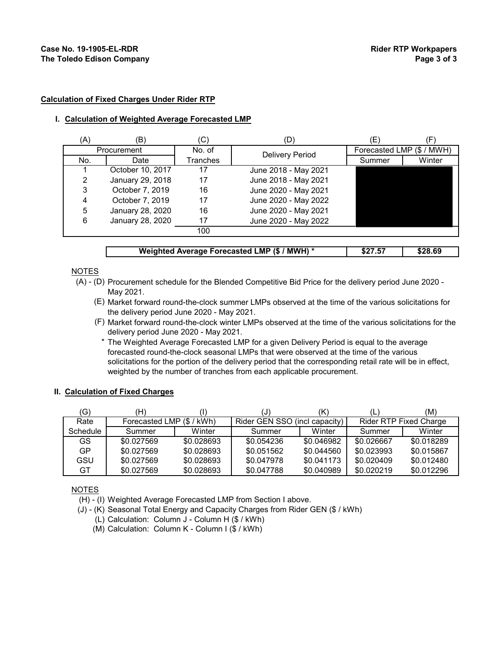#### **Calculation of Fixed Charges Under Rider RTP**

#### **I. Calculation of Weighted Average Forecasted LMP**

| (A) | (B)              | (C)      | (D)                    | (E)    |                           |
|-----|------------------|----------|------------------------|--------|---------------------------|
|     | Procurement      | No. of   | <b>Delivery Period</b> |        | Forecasted LMP (\$ / MWH) |
| No. | Date             | Tranches |                        | Summer | Winter                    |
|     | October 10, 2017 |          | June 2018 - May 2021   |        |                           |
| 2   | January 29, 2018 | 17       | June 2018 - May 2021   |        |                           |
| 3   | October 7, 2019  | 16       | June 2020 - May 2021   |        |                           |
| 4   | October 7, 2019  | 17       | June 2020 - May 2022   |        |                           |
| 5   | January 28, 2020 | 16       | June 2020 - May 2021   |        |                           |
| 6   | January 28, 2020 | 17       | June 2020 - May 2022   |        |                           |
|     |                  | 100      |                        |        |                           |
|     |                  |          |                        |        |                           |

| Weighted Average Forecasted LMP (\$ / MWH) * | \$27.57 | \$28.69 |
|----------------------------------------------|---------|---------|
|                                              |         |         |

### NOTES

- (A) (D) Procurement schedule for the Blended Competitive Bid Price for the delivery period June 2020 May 2021.
	- (E) Market forward round-the-clock summer LMPs observed at the time of the various solicitations for the delivery period June 2020 - May 2021.
	- (F) Market forward round-the-clock winter LMPs observed at the time of the various solicitations for the delivery period June 2020 - May 2021.
		- \* The Weighted Average Forecasted LMP for a given Delivery Period is equal to the average forecasted round-the-clock seasonal LMPs that were observed at the time of the various solicitations for the portion of the delivery period that the corresponding retail rate will be in effect, weighted by the number of tranches from each applicable procurement.

#### **II. Calculation of Fixed Charges**

| (G)      | (H)                       |            | IJ                            | (K)        |            | (M)                           |
|----------|---------------------------|------------|-------------------------------|------------|------------|-------------------------------|
| Rate     | Forecasted LMP (\$ / kWh) |            | Rider GEN SSO (incl capacity) |            |            | <b>Rider RTP Fixed Charge</b> |
| Schedule | Summer                    | Winter     | Summer                        | Winter     | Summer     | Winter                        |
| GS.      | \$0.027569                | \$0.028693 | \$0.054236                    | \$0.046982 | \$0.026667 | \$0.018289                    |
| GP       | \$0.027569                | \$0.028693 | \$0.051562                    | \$0.044560 | \$0.023993 | \$0.015867                    |
| GSU      | \$0.027569                | \$0.028693 | \$0.047978                    | \$0.041173 | \$0.020409 | \$0.012480                    |
| GT       | \$0.027569                | \$0.028693 | \$0.047788                    | \$0.040989 | \$0.020219 | \$0.012296                    |

NOTES

(H) - (I) Weighted Average Forecasted LMP from Section I above.

- (J) (K) Seasonal Total Energy and Capacity Charges from Rider GEN (\$ / kWh)
	- (L) Calculation: Column J Column H (\$ / kWh)
	- (M) Calculation: Column K Column I (\$ / kWh)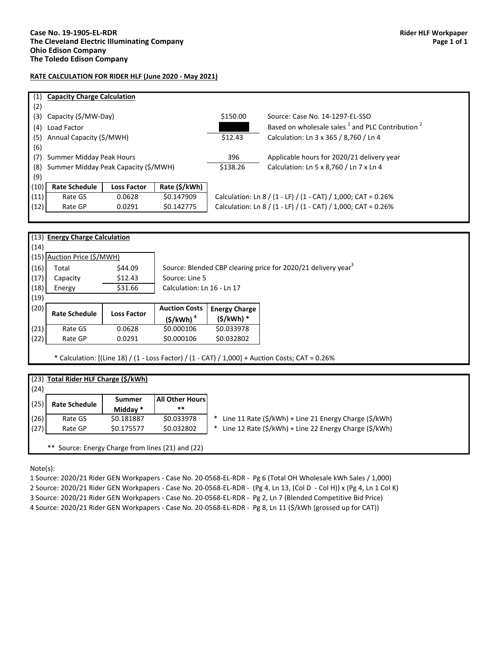#### **RATE CALCULATION FOR RIDER HLF (June 2020 - May 2021)**

|                      |                    |                                                                                                                    | \$150.00                             | Source: Case No. 14-1297-EL-SSO                                         |
|----------------------|--------------------|--------------------------------------------------------------------------------------------------------------------|--------------------------------------|-------------------------------------------------------------------------|
| Load Factor          |                    |                                                                                                                    |                                      | Based on wholesale sales <sup>1</sup> and PLC Contribution <sup>2</sup> |
|                      |                    |                                                                                                                    | \$12.43                              | Calculation: Ln 3 x 365 / 8,760 / Ln 4                                  |
|                      |                    |                                                                                                                    |                                      |                                                                         |
|                      |                    |                                                                                                                    | 396                                  | Applicable hours for 2020/21 delivery year                              |
|                      |                    |                                                                                                                    | \$138.26                             | Calculation: Ln 5 x 8,760 / Ln 7 x Ln 4                                 |
|                      |                    |                                                                                                                    |                                      |                                                                         |
| <b>Rate Schedule</b> | <b>Loss Factor</b> | Rate (\$/kWh)                                                                                                      |                                      |                                                                         |
| Rate GS              | 0.0628             | \$0.147909                                                                                                         |                                      | Calculation: Ln 8 / (1 - LF) / (1 - CAT) / 1,000; CAT = $0.26\%$        |
| (12)<br>Rate GP      | 0.0291             | \$0.142775                                                                                                         |                                      | Calculation: Ln 8 / (1 - LF) / (1 - CAT) / 1,000; CAT = 0.26%           |
|                      |                    | <b>Capacity Charge Calculation</b><br>Capacity (\$/MW-Day)<br>Annual Capacity (\$/MWH)<br>Summer Midday Peak Hours | Summer Midday Peak Capacity (\$/MWH) |                                                                         |

|      | (13) Energy Charge Calculation |                    |                            |                      |                                                                                                   |
|------|--------------------------------|--------------------|----------------------------|----------------------|---------------------------------------------------------------------------------------------------|
| (14) |                                |                    |                            |                      |                                                                                                   |
| (15) | Auction Price (\$/MWH)         |                    |                            |                      |                                                                                                   |
| (16) | Total                          | \$44.09            |                            |                      | Source: Blended CBP clearing price for 2020/21 delivery year <sup>3</sup>                         |
| (17) | Capacity                       | \$12.43            | Source: Line 5             |                      |                                                                                                   |
| (18) | Energy                         | \$31.66            | Calculation: Ln 16 - Ln 17 |                      |                                                                                                   |
| (19) |                                |                    |                            |                      |                                                                                                   |
| (20) | <b>Rate Schedule</b>           | <b>Loss Factor</b> | <b>Auction Costs</b>       | <b>Energy Charge</b> |                                                                                                   |
|      |                                |                    | $(\frac{\xi}{kWh})^4$      | (\$/kWh) *           |                                                                                                   |
| (21) | Rate GS                        | 0.0628             | \$0.000106                 | \$0.033978           |                                                                                                   |
| (22) | Rate GP                        | 0.0291             | \$0.000106                 | \$0.032802           |                                                                                                   |
|      |                                |                    |                            |                      | * Calculation: $[(Line 18) / (1 - Loss Factor) / (1 - CAT) / 1,000] + auction Costs; CAT = 0.26%$ |

| (24) | (23) Total Rider HLF Charge (\$/kWh) |                    |                                 |                                                                                                |
|------|--------------------------------------|--------------------|---------------------------------|------------------------------------------------------------------------------------------------|
| (25) | <b>Rate Schedule</b>                 | Summer<br>Midday * | <b>All Other Hours</b><br>$***$ |                                                                                                |
| (26) | Rate GS                              | \$0.181887         | \$0.033978                      | Line 11 Rate $(\frac{1}{2}$ /kWh $)$ + Line 21 Energy Charge $(\frac{1}{2}$ /kWh $)$<br>$\ast$ |
| (27) | Rate GP                              | \$0.175577         | \$0.032802                      | Line 12 Rate (\$/kWh) + Line 22 Energy Charge (\$/kWh)<br>∗                                    |

Note(s):

1 Source: 2020/21 Rider GEN Workpapers - Case No. 20-0568-EL-RDR - Pg 6 (Total OH Wholesale kWh Sales / 1,000) 2 Source: 2020/21 Rider GEN Workpapers - Case No. 20-0568-EL-RDR - (Pg 4, Ln 13, (Col D - Col H)) x (Pg 4, Ln 1 Col K) 3 Source: 2020/21 Rider GEN Workpapers - Case No. 20-0568-EL-RDR - Pg 2, Ln 7 (Blended Competitive Bid Price) 4 Source: 2020/21 Rider GEN Workpapers - Case No. 20-0568-EL-RDR - Pg 8, Ln 11 (\$/kWh (grossed up for CAT))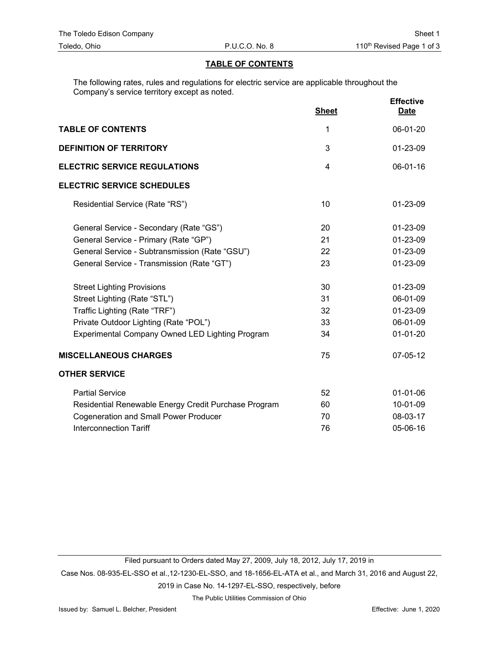## **TABLE OF CONTENTS**

The following rates, rules and regulations for electric service are applicable throughout the Company's service territory except as noted.

|                                                      | <b>Sheet</b>   | <b>Effective</b><br><b>Date</b> |
|------------------------------------------------------|----------------|---------------------------------|
| <b>TABLE OF CONTENTS</b>                             | 1              | 06-01-20                        |
| <b>DEFINITION OF TERRITORY</b>                       | 3              | 01-23-09                        |
| <b>ELECTRIC SERVICE REGULATIONS</b>                  | $\overline{4}$ | 06-01-16                        |
| <b>ELECTRIC SERVICE SCHEDULES</b>                    |                |                                 |
| Residential Service (Rate "RS")                      | 10             | 01-23-09                        |
| General Service - Secondary (Rate "GS")              | 20             | $01 - 23 - 09$                  |
| General Service - Primary (Rate "GP")                | 21             | 01-23-09                        |
| General Service - Subtransmission (Rate "GSU")       | 22             | 01-23-09                        |
| General Service - Transmission (Rate "GT")           | 23             | 01-23-09                        |
| <b>Street Lighting Provisions</b>                    | 30             | 01-23-09                        |
| Street Lighting (Rate "STL")                         | 31             | 06-01-09                        |
| Traffic Lighting (Rate "TRF")                        | 32             | 01-23-09                        |
| Private Outdoor Lighting (Rate "POL")                | 33             | 06-01-09                        |
| Experimental Company Owned LED Lighting Program      | 34             | $01 - 01 - 20$                  |
| <b>MISCELLANEOUS CHARGES</b>                         | 75             | 07-05-12                        |
| <b>OTHER SERVICE</b>                                 |                |                                 |
| <b>Partial Service</b>                               | 52             | $01 - 01 - 06$                  |
| Residential Renewable Energy Credit Purchase Program | 60             | 10-01-09                        |
| <b>Cogeneration and Small Power Producer</b>         | 70             | 08-03-17                        |
| <b>Interconnection Tariff</b>                        | 76             | 05-06-16                        |

Filed pursuant to Orders dated May 27, 2009, July 18, 2012, July 17, 2019 in

Case Nos. 08-935-EL-SSO et al.,12-1230-EL-SSO, and 18-1656-EL-ATA et al., and March 31, 2016 and August 22,

2019 in Case No. 14-1297-EL-SSO, respectively, before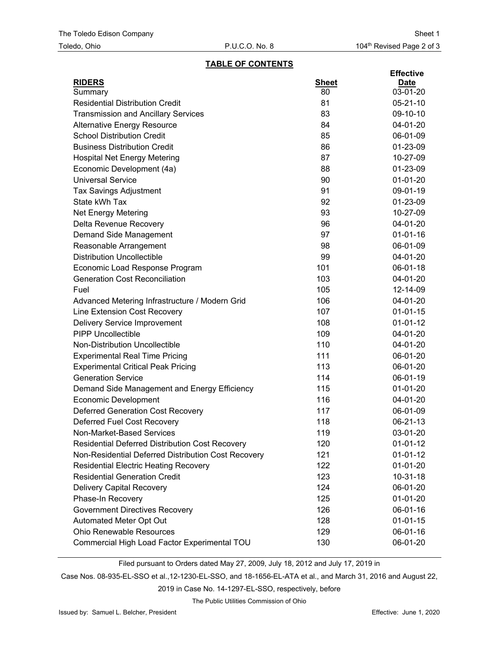## **TABLE OF CONTENTS**

| <b>RIDERS</b><br><b>Sheet</b><br><b>Date</b><br>80<br>03-01-20<br>Summary<br><b>Residential Distribution Credit</b><br>81<br>$05 - 21 - 10$<br><b>Transmission and Ancillary Services</b><br>83<br>09-10-10<br>84<br>04-01-20<br><b>Alternative Energy Resource</b><br><b>School Distribution Credit</b><br>85<br>06-01-09<br><b>Business Distribution Credit</b><br>86<br>01-23-09<br>87<br><b>Hospital Net Energy Metering</b><br>10-27-09<br>Economic Development (4a)<br>88<br>01-23-09 |
|---------------------------------------------------------------------------------------------------------------------------------------------------------------------------------------------------------------------------------------------------------------------------------------------------------------------------------------------------------------------------------------------------------------------------------------------------------------------------------------------|
|                                                                                                                                                                                                                                                                                                                                                                                                                                                                                             |
|                                                                                                                                                                                                                                                                                                                                                                                                                                                                                             |
|                                                                                                                                                                                                                                                                                                                                                                                                                                                                                             |
|                                                                                                                                                                                                                                                                                                                                                                                                                                                                                             |
|                                                                                                                                                                                                                                                                                                                                                                                                                                                                                             |
|                                                                                                                                                                                                                                                                                                                                                                                                                                                                                             |
|                                                                                                                                                                                                                                                                                                                                                                                                                                                                                             |
|                                                                                                                                                                                                                                                                                                                                                                                                                                                                                             |
|                                                                                                                                                                                                                                                                                                                                                                                                                                                                                             |
| <b>Universal Service</b><br>90<br>$01-01-20$                                                                                                                                                                                                                                                                                                                                                                                                                                                |
| 91<br>09-01-19<br><b>Tax Savings Adjustment</b>                                                                                                                                                                                                                                                                                                                                                                                                                                             |
| State kWh Tax<br>92<br>01-23-09                                                                                                                                                                                                                                                                                                                                                                                                                                                             |
| Net Energy Metering<br>93<br>10-27-09                                                                                                                                                                                                                                                                                                                                                                                                                                                       |
| 96<br>04-01-20<br>Delta Revenue Recovery                                                                                                                                                                                                                                                                                                                                                                                                                                                    |
| Demand Side Management<br>97<br>$01 - 01 - 16$                                                                                                                                                                                                                                                                                                                                                                                                                                              |
| 98<br>06-01-09<br>Reasonable Arrangement                                                                                                                                                                                                                                                                                                                                                                                                                                                    |
| <b>Distribution Uncollectible</b><br>99<br>04-01-20                                                                                                                                                                                                                                                                                                                                                                                                                                         |
| 101<br>Economic Load Response Program<br>06-01-18                                                                                                                                                                                                                                                                                                                                                                                                                                           |
| 103<br><b>Generation Cost Reconciliation</b><br>04-01-20                                                                                                                                                                                                                                                                                                                                                                                                                                    |
| Fuel<br>105<br>12-14-09                                                                                                                                                                                                                                                                                                                                                                                                                                                                     |
| 106<br>04-01-20<br>Advanced Metering Infrastructure / Modern Grid                                                                                                                                                                                                                                                                                                                                                                                                                           |
| Line Extension Cost Recovery<br>107<br>$01-01-15$                                                                                                                                                                                                                                                                                                                                                                                                                                           |
| 108<br>$01 - 01 - 12$<br>Delivery Service Improvement                                                                                                                                                                                                                                                                                                                                                                                                                                       |
| <b>PIPP Uncollectible</b><br>109<br>04-01-20                                                                                                                                                                                                                                                                                                                                                                                                                                                |
| Non-Distribution Uncollectible<br>110<br>04-01-20                                                                                                                                                                                                                                                                                                                                                                                                                                           |
| <b>Experimental Real Time Pricing</b><br>111<br>06-01-20                                                                                                                                                                                                                                                                                                                                                                                                                                    |
| <b>Experimental Critical Peak Pricing</b><br>113<br>06-01-20                                                                                                                                                                                                                                                                                                                                                                                                                                |
| <b>Generation Service</b><br>114<br>06-01-19                                                                                                                                                                                                                                                                                                                                                                                                                                                |
| 115<br>$01-01-20$<br>Demand Side Management and Energy Efficiency                                                                                                                                                                                                                                                                                                                                                                                                                           |
| <b>Economic Development</b><br>116<br>04-01-20                                                                                                                                                                                                                                                                                                                                                                                                                                              |
| <b>Deferred Generation Cost Recovery</b><br>06-01-09<br>117                                                                                                                                                                                                                                                                                                                                                                                                                                 |
| Deferred Fuel Cost Recovery<br>118<br>06-21-13                                                                                                                                                                                                                                                                                                                                                                                                                                              |
| 119<br>03-01-20<br>Non-Market-Based Services                                                                                                                                                                                                                                                                                                                                                                                                                                                |
| Residential Deferred Distribution Cost Recovery<br>120<br>$01 - 01 - 12$                                                                                                                                                                                                                                                                                                                                                                                                                    |
| Non-Residential Deferred Distribution Cost Recovery<br>121<br>$01-01-12$                                                                                                                                                                                                                                                                                                                                                                                                                    |
| <b>Residential Electric Heating Recovery</b><br>122<br>$01 - 01 - 20$                                                                                                                                                                                                                                                                                                                                                                                                                       |
| <b>Residential Generation Credit</b><br>123<br>10-31-18                                                                                                                                                                                                                                                                                                                                                                                                                                     |
| <b>Delivery Capital Recovery</b><br>124<br>06-01-20                                                                                                                                                                                                                                                                                                                                                                                                                                         |
| Phase-In Recovery<br>125<br>$01 - 01 - 20$                                                                                                                                                                                                                                                                                                                                                                                                                                                  |
| <b>Government Directives Recovery</b><br>126<br>06-01-16                                                                                                                                                                                                                                                                                                                                                                                                                                    |
| Automated Meter Opt Out<br>128<br>$01-01-15$                                                                                                                                                                                                                                                                                                                                                                                                                                                |
| <b>Ohio Renewable Resources</b><br>129<br>06-01-16                                                                                                                                                                                                                                                                                                                                                                                                                                          |
| Commercial High Load Factor Experimental TOU<br>130<br>06-01-20                                                                                                                                                                                                                                                                                                                                                                                                                             |

Filed pursuant to Orders dated May 27, 2009, July 18, 2012 and July 17, 2019 in

Case Nos. 08-935-EL-SSO et al.,12-1230-EL-SSO, and 18-1656-EL-ATA et al., and March 31, 2016 and August 22,

2019 in Case No. 14-1297-EL-SSO, respectively, before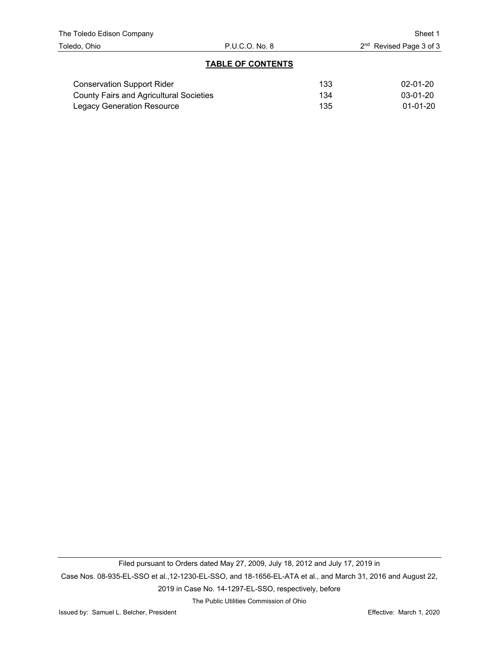## **TABLE OF CONTENTS**

| <b>Conservation Support Rider</b>              | 133 | 02-01-20       |
|------------------------------------------------|-----|----------------|
| <b>County Fairs and Agricultural Societies</b> | 134 | 03-01-20       |
| Legacy Generation Resource                     | 135 | $01 - 01 - 20$ |

Filed pursuant to Orders dated May 27, 2009, July 18, 2012 and July 17, 2019 in Case Nos. 08-935-EL-SSO et al.,12-1230-EL-SSO, and 18-1656-EL-ATA et al., and March 31, 2016 and August 22, 2019 in Case No. 14-1297-EL-SSO, respectively, before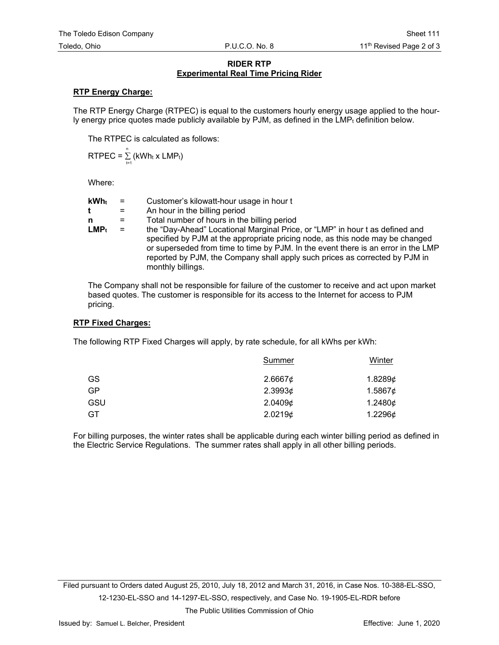## **RIDER RTP Experimental Real Time Pricing Rider**

## **RTP Energy Charge:**

The RTP Energy Charge (RTPEC) is equal to the customers hourly energy usage applied to the hourly energy price quotes made publicly available by PJM, as defined in the  $LMP<sub>t</sub>$  definition below.

The RTPEC is calculated as follows:

 $\textsf{RTPEC} = \sum\limits_{t=1}^n \left( \textsf{kWh}_t \times \textsf{LMP}_t \right)$ 

Where:

| $kWh_t$                     | $\mathbf{r} = \mathbf{r}$ | Customer's kilowatt-hour usage in hour t                                                                                                                                                                                                                                                                                                               |
|-----------------------------|---------------------------|--------------------------------------------------------------------------------------------------------------------------------------------------------------------------------------------------------------------------------------------------------------------------------------------------------------------------------------------------------|
|                             | $=$                       | An hour in the billing period                                                                                                                                                                                                                                                                                                                          |
| n.                          | $=$                       | Total number of hours in the billing period                                                                                                                                                                                                                                                                                                            |
| $\mathsf{LMP}_{\mathsf{t}}$ | $\mathbf{r} = \mathbf{r}$ | the "Day-Ahead" Locational Marginal Price, or "LMP" in hour t as defined and<br>specified by PJM at the appropriate pricing node, as this node may be changed<br>or superseded from time to time by PJM. In the event there is an error in the LMP<br>reported by PJM, the Company shall apply such prices as corrected by PJM in<br>monthly billings. |

The Company shall not be responsible for failure of the customer to receive and act upon market based quotes. The customer is responsible for its access to the Internet for access to PJM pricing.

## **RTP Fixed Charges:**

The following RTP Fixed Charges will apply, by rate schedule, for all kWhs per kWh:

|     | <b>Summer</b> | <b>Winter</b> |
|-----|---------------|---------------|
| GS  | 2.6667¢       | 1.8289¢       |
| GP  | 2.39936       | 1.5867¢       |
| GSU | 2.04096       | 1.2480¢       |
| GT  | 2.02196       | 1.2296¢       |

For billing purposes, the winter rates shall be applicable during each winter billing period as defined in the Electric Service Regulations. The summer rates shall apply in all other billing periods.

Filed pursuant to Orders dated August 25, 2010, July 18, 2012 and March 31, 2016, in Case Nos. 10-388-EL-SSO, 12-1230-EL-SSO and 14-1297-EL-SSO, respectively, and Case No. 19-1905-EL-RDR before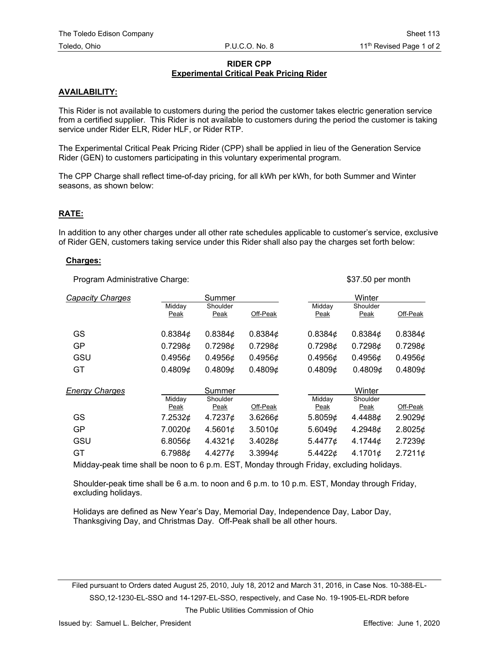## **RIDER CPP Experimental Critical Peak Pricing Rider**

## **AVAILABILITY:**

This Rider is not available to customers during the period the customer takes electric generation service from a certified supplier. This Rider is not available to customers during the period the customer is taking service under Rider ELR, Rider HLF, or Rider RTP.

The Experimental Critical Peak Pricing Rider (CPP) shall be applied in lieu of the Generation Service Rider (GEN) to customers participating in this voluntary experimental program.

The CPP Charge shall reflect time-of-day pricing, for all kWh per kWh, for both Summer and Winter seasons, as shown below:

### **RATE:**

In addition to any other charges under all other rate schedules applicable to customer's service, exclusive of Rider GEN, customers taking service under this Rider shall also pay the charges set forth below:

#### **Charges:**

Program Administrative Charge:  $$37.50$  per month

| <b>Capacity Charges</b> | Summer         |                  |               | Winter                |                  |            |
|-------------------------|----------------|------------------|---------------|-----------------------|------------------|------------|
|                         | Middav<br>Peak | Shoulder<br>Peak | Off-Peak      | Middav<br>Peak        | Shoulder<br>Peak | Off-Peak   |
| GS                      | $0.8384$ ¢     | $0.8384$ ¢       | $0.8384$ ¢    | 0.8384¢               | $0.8384$ ¢       | $0.8384$ ¢ |
| <b>GP</b>               | 0.72986        | 0.72986          | 0.72986       | 0.72986               | 0.72986          | 0.72986    |
| GSU                     | $0.4956$ ¢     | $0.4956$ ¢       | $0.4956$ ¢    | $0.4956$ ¢            | 0.4956c          | $0.4956$ ¢ |
| GT                      | 0.48096        | 0.48096          | 0.48096       | 0.48096               | 0.48096          | 0.48096    |
| <b>Energy Charges</b>   |                | Summer           |               |                       | Winter           |            |
|                         | Midday<br>Peak | Shoulder<br>Peak | Off-Peak      | Midday<br><u>Peak</u> | Shoulder<br>Peak | Off-Peak   |
| GS                      | 7.2532¢        | 4.7237¢          | 3.62666       | 5.8059¢               | 4.4488¢          | 2.90296    |
| <b>GP</b>               | 7.0020¢        | 4.5601¢          | 3.5010¢       | 5.6049¢               | 4.2948¢          | 2.8025¢    |
| GSU                     | 6.8056¢        | 4.4321¢          | 3.40286       | 5.4477¢               | 4.1744¢          | 2.72396    |
| GT                      | 6.7988¢        | 4.4277¢          | 3.3994 $\phi$ | 5.4422¢               | 4.1701¢          | $2.7211$ ¢ |
|                         |                |                  |               |                       |                  |            |

Midday-peak time shall be noon to 6 p.m. EST, Monday through Friday, excluding holidays.

Shoulder-peak time shall be 6 a.m. to noon and 6 p.m. to 10 p.m. EST, Monday through Friday, excluding holidays.

Holidays are defined as New Year's Day, Memorial Day, Independence Day, Labor Day, Thanksgiving Day, and Christmas Day. Off-Peak shall be all other hours.

Filed pursuant to Orders dated August 25, 2010, July 18, 2012 and March 31, 2016, in Case Nos. 10-388-EL-SSO,12-1230-EL-SSO and 14-1297-EL-SSO, respectively, and Case No. 19-1905-EL-RDR before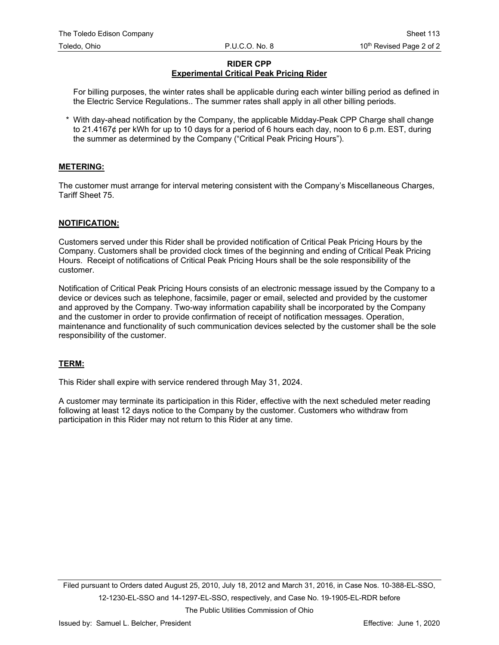## **RIDER CPP Experimental Critical Peak Pricing Rider**

For billing purposes, the winter rates shall be applicable during each winter billing period as defined in the Electric Service Regulations.. The summer rates shall apply in all other billing periods.

\* With day-ahead notification by the Company, the applicable Midday-Peak CPP Charge shall change to 21.4167¢ per kWh for up to 10 days for a period of 6 hours each day, noon to 6 p.m. EST, during the summer as determined by the Company ("Critical Peak Pricing Hours").

## **METERING:**

The customer must arrange for interval metering consistent with the Company's Miscellaneous Charges, Tariff Sheet 75.

## **NOTIFICATION:**

Customers served under this Rider shall be provided notification of Critical Peak Pricing Hours by the Company. Customers shall be provided clock times of the beginning and ending of Critical Peak Pricing Hours. Receipt of notifications of Critical Peak Pricing Hours shall be the sole responsibility of the customer.

Notification of Critical Peak Pricing Hours consists of an electronic message issued by the Company to a device or devices such as telephone, facsimile, pager or email, selected and provided by the customer and approved by the Company. Two-way information capability shall be incorporated by the Company and the customer in order to provide confirmation of receipt of notification messages. Operation, maintenance and functionality of such communication devices selected by the customer shall be the sole responsibility of the customer.

## **TERM:**

This Rider shall expire with service rendered through May 31, 2024.

A customer may terminate its participation in this Rider, effective with the next scheduled meter reading following at least 12 days notice to the Company by the customer. Customers who withdraw from participation in this Rider may not return to this Rider at any time.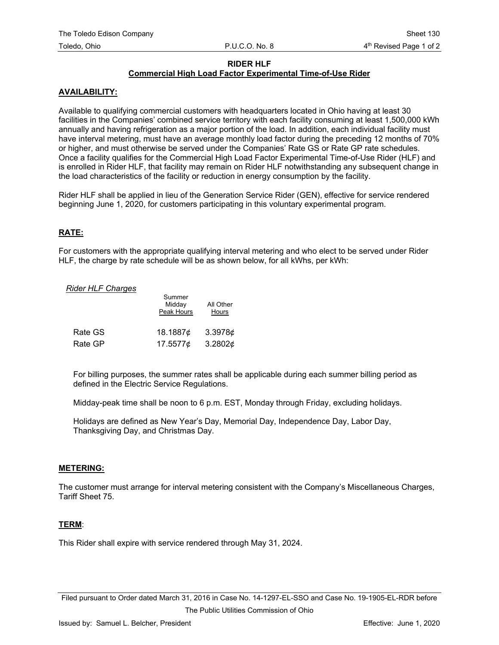#### **RIDER HLF Commercial High Load Factor Experimental Time-of-Use Rider**

## **AVAILABILITY:**

Available to qualifying commercial customers with headquarters located in Ohio having at least 30 facilities in the Companies' combined service territory with each facility consuming at least 1,500,000 kWh annually and having refrigeration as a major portion of the load. In addition, each individual facility must have interval metering, must have an average monthly load factor during the preceding 12 months of 70% or higher, and must otherwise be served under the Companies' Rate GS or Rate GP rate schedules. Once a facility qualifies for the Commercial High Load Factor Experimental Time-of-Use Rider (HLF) and is enrolled in Rider HLF, that facility may remain on Rider HLF notwithstanding any subsequent change in the load characteristics of the facility or reduction in energy consumption by the facility.

Rider HLF shall be applied in lieu of the Generation Service Rider (GEN), effective for service rendered beginning June 1, 2020, for customers participating in this voluntary experimental program.

## **RATE:**

For customers with the appropriate qualifying interval metering and who elect to be served under Rider HLF, the charge by rate schedule will be as shown below, for all kWhs, per kWh:

## *Rider HLF Charges*

|         | Summer<br>Midday<br>Peak Hours | All Other<br>Hours |  |
|---------|--------------------------------|--------------------|--|
| Rate GS | 18.1887¢                       | 3.3978c            |  |
| Rate GP | 17.5577¢                       | 3.2802¢            |  |

For billing purposes, the summer rates shall be applicable during each summer billing period as defined in the Electric Service Regulations.

Midday-peak time shall be noon to 6 p.m. EST, Monday through Friday, excluding holidays.

Holidays are defined as New Year's Day, Memorial Day, Independence Day, Labor Day, Thanksgiving Day, and Christmas Day.

### **METERING:**

The customer must arrange for interval metering consistent with the Company's Miscellaneous Charges, Tariff Sheet 75.

## **TERM**:

This Rider shall expire with service rendered through May 31, 2024.

Filed pursuant to Order dated March 31, 2016 in Case No. 14-1297-EL-SSO and Case No. 19-1905-EL-RDR before The Public Utilities Commission of Ohio